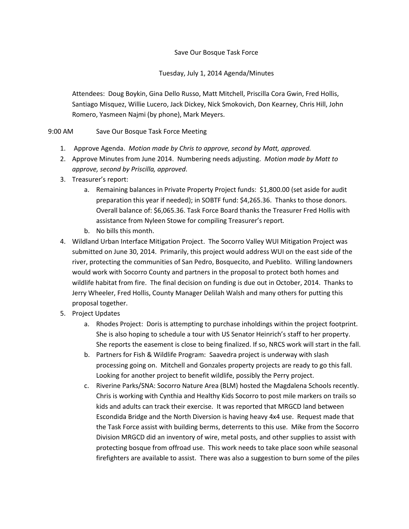## Save Our Bosque Task Force

## Tuesday, July 1, 2014 Agenda/Minutes

Attendees: Doug Boykin, Gina Dello Russo, Matt Mitchell, Priscilla Cora Gwin, Fred Hollis, Santiago Misquez, Willie Lucero, Jack Dickey, Nick Smokovich, Don Kearney, Chris Hill, John Romero, Yasmeen Najmi (by phone), Mark Meyers.

## 9:00 AM Save Our Bosque Task Force Meeting

- 1. Approve Agenda. *Motion made by Chris to approve, second by Matt, approved.*
- 2. Approve Minutes from June 2014. Numbering needs adjusting. *Motion made by Matt to approve, second by Priscilla, approved*.
- 3. Treasurer's report:
	- a. Remaining balances in Private Property Project funds: \$1,800.00 (set aside for audit preparation this year if needed); in SOBTF fund: \$4,265.36. Thanks to those donors. Overall balance of: \$6,065.36. Task Force Board thanks the Treasurer Fred Hollis with assistance from Nyleen Stowe for compiling Treasurer's report*.*
	- b. No bills this month.
- 4. Wildland Urban Interface Mitigation Project. The Socorro Valley WUI Mitigation Project was submitted on June 30, 2014. Primarily, this project would address WUI on the east side of the river, protecting the communities of San Pedro, Bosquecito, and Pueblito. Willing landowners would work with Socorro County and partners in the proposal to protect both homes and wildlife habitat from fire. The final decision on funding is due out in October, 2014. Thanks to Jerry Wheeler, Fred Hollis, County Manager Delilah Walsh and many others for putting this proposal together.
- 5. Project Updates
	- a. Rhodes Project: Doris is attempting to purchase inholdings within the project footprint. She is also hoping to schedule a tour with US Senator Heinrich's staff to her property. She reports the easement is close to being finalized. If so, NRCS work will start in the fall.
	- b. Partners for Fish & Wildlife Program: Saavedra project is underway with slash processing going on. Mitchell and Gonzales property projects are ready to go this fall. Looking for another project to benefit wildlife, possibly the Perry project.
	- c. Riverine Parks/SNA: Socorro Nature Area (BLM) hosted the Magdalena Schools recently. Chris is working with Cynthia and Healthy Kids Socorro to post mile markers on trails so kids and adults can track their exercise. It was reported that MRGCD land between Escondida Bridge and the North Diversion is having heavy 4x4 use. Request made that the Task Force assist with building berms, deterrents to this use. Mike from the Socorro Division MRGCD did an inventory of wire, metal posts, and other supplies to assist with protecting bosque from offroad use. This work needs to take place soon while seasonal firefighters are available to assist. There was also a suggestion to burn some of the piles